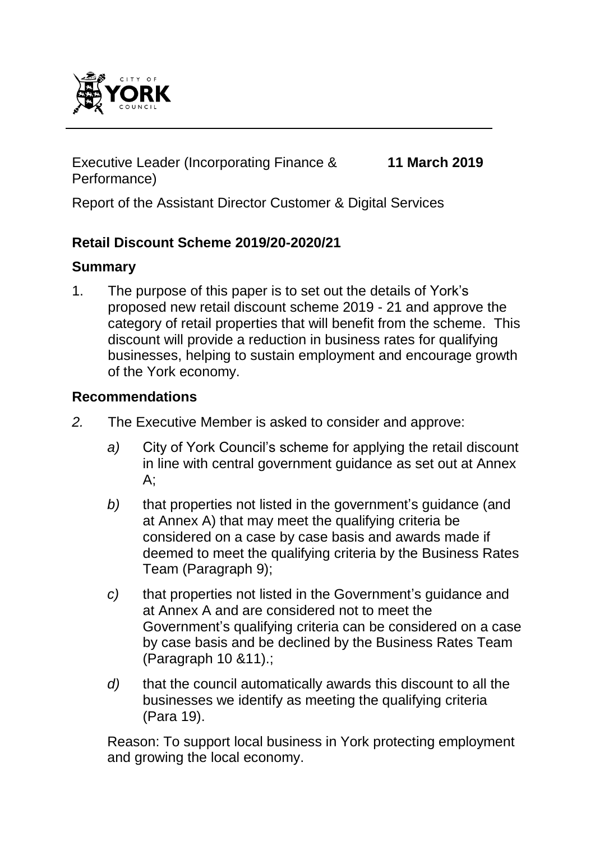

Executive Leader (Incorporating Finance & Performance)

**11 March 2019**

Report of the Assistant Director Customer & Digital Services

## **Retail Discount Scheme 2019/20-2020/21**

#### **Summary**

1. The purpose of this paper is to set out the details of York's proposed new retail discount scheme 2019 - 21 and approve the category of retail properties that will benefit from the scheme. This discount will provide a reduction in business rates for qualifying businesses, helping to sustain employment and encourage growth of the York economy.

#### **Recommendations**

- *2.* The Executive Member is asked to consider and approve:
	- *a)* City of York Council's scheme for applying the retail discount in line with central government guidance as set out at Annex A;
	- *b)* that properties not listed in the government's guidance (and at Annex A) that may meet the qualifying criteria be considered on a case by case basis and awards made if deemed to meet the qualifying criteria by the Business Rates Team (Paragraph 9);
	- *c)* that properties not listed in the Government's guidance and at Annex A and are considered not to meet the Government's qualifying criteria can be considered on a case by case basis and be declined by the Business Rates Team (Paragraph 10 &11).;
	- *d)* that the council automatically awards this discount to all the businesses we identify as meeting the qualifying criteria (Para 19).

Reason: To support local business in York protecting employment and growing the local economy.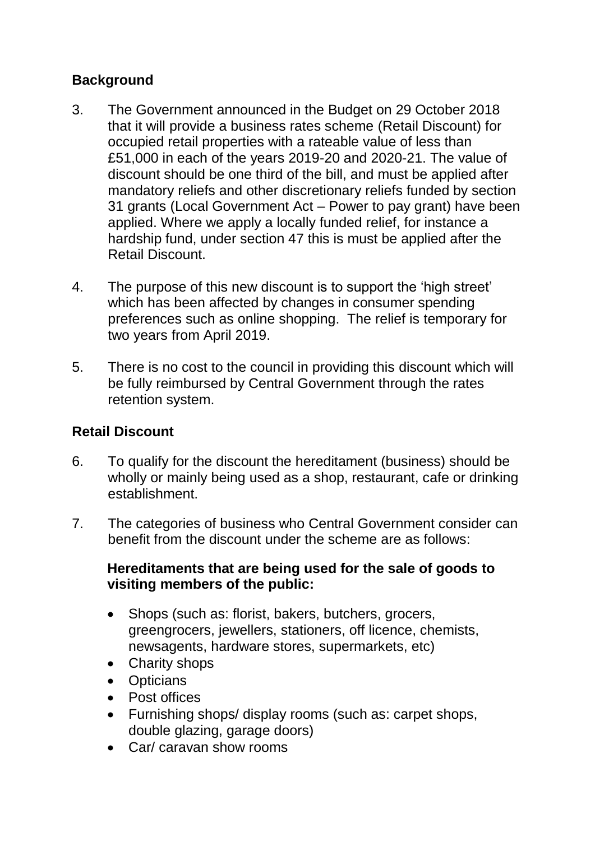# **Background**

- 3. The Government announced in the Budget on 29 October 2018 that it will provide a business rates scheme (Retail Discount) for occupied retail properties with a rateable value of less than £51,000 in each of the years 2019-20 and 2020-21. The value of discount should be one third of the bill, and must be applied after mandatory reliefs and other discretionary reliefs funded by section 31 grants (Local Government Act – Power to pay grant) have been applied. Where we apply a locally funded relief, for instance a hardship fund, under section 47 this is must be applied after the Retail Discount.
- 4. The purpose of this new discount is to support the 'high street' which has been affected by changes in consumer spending preferences such as online shopping. The relief is temporary for two years from April 2019.
- 5. There is no cost to the council in providing this discount which will be fully reimbursed by Central Government through the rates retention system.

# **Retail Discount**

- 6. To qualify for the discount the hereditament (business) should be wholly or mainly being used as a shop, restaurant, cafe or drinking establishment.
- 7. The categories of business who Central Government consider can benefit from the discount under the scheme are as follows:

#### **Hereditaments that are being used for the sale of goods to visiting members of the public:**

- Shops (such as: florist, bakers, butchers, grocers, greengrocers, jewellers, stationers, off licence, chemists, newsagents, hardware stores, supermarkets, etc)
- Charity shops
- Opticians
- Post offices
- Furnishing shops/ display rooms (such as: carpet shops, double glazing, garage doors)
- Car/ caravan show rooms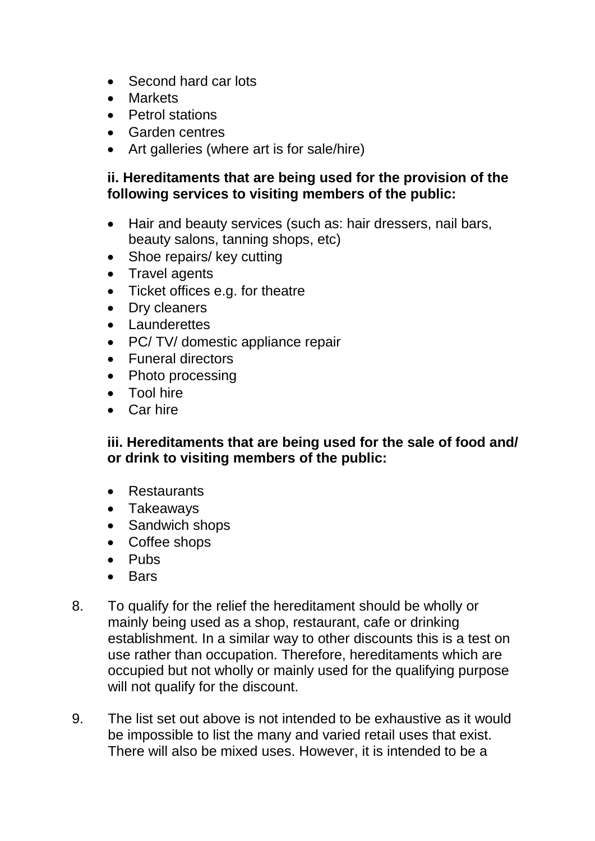- Second hard car lots
- Markets
- Petrol stations
- Garden centres
- Art galleries (where art is for sale/hire)

#### **ii. Hereditaments that are being used for the provision of the following services to visiting members of the public:**

- Hair and beauty services (such as: hair dressers, nail bars, beauty salons, tanning shops, etc)
- Shoe repairs/ key cutting
- Travel agents
- Ticket offices e.g. for theatre
- Dry cleaners
- Launderettes
- PC/ TV/ domestic appliance repair
- Funeral directors
- Photo processing
- Tool hire
- Car hire

**iii. Hereditaments that are being used for the sale of food and/ or drink to visiting members of the public:** 

- Restaurants
- Takeaways
- Sandwich shops
- Coffee shops
- Pubs
- Bars
- 8. To qualify for the relief the hereditament should be wholly or mainly being used as a shop, restaurant, cafe or drinking establishment. In a similar way to other discounts this is a test on use rather than occupation. Therefore, hereditaments which are occupied but not wholly or mainly used for the qualifying purpose will not qualify for the discount.
- 9. The list set out above is not intended to be exhaustive as it would be impossible to list the many and varied retail uses that exist. There will also be mixed uses. However, it is intended to be a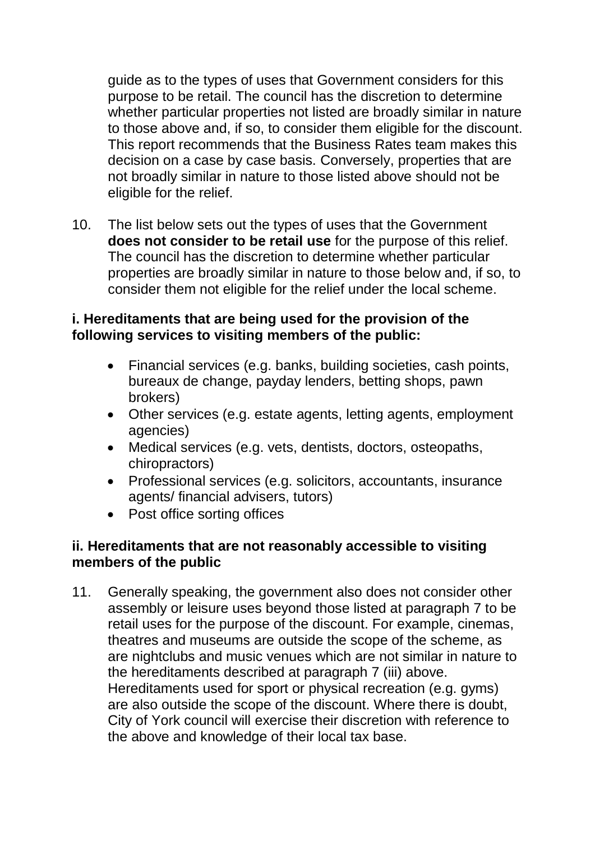guide as to the types of uses that Government considers for this purpose to be retail. The council has the discretion to determine whether particular properties not listed are broadly similar in nature to those above and, if so, to consider them eligible for the discount. This report recommends that the Business Rates team makes this decision on a case by case basis. Conversely, properties that are not broadly similar in nature to those listed above should not be eligible for the relief.

10. The list below sets out the types of uses that the Government **does not consider to be retail use** for the purpose of this relief. The council has the discretion to determine whether particular properties are broadly similar in nature to those below and, if so, to consider them not eligible for the relief under the local scheme.

#### **i. Hereditaments that are being used for the provision of the following services to visiting members of the public:**

- Financial services (e.g. banks, building societies, cash points, bureaux de change, payday lenders, betting shops, pawn brokers)
- Other services (e.g. estate agents, letting agents, employment agencies)
- Medical services (e.g. vets, dentists, doctors, osteopaths, chiropractors)
- Professional services (e.g. solicitors, accountants, insurance agents/ financial advisers, tutors)
- Post office sorting offices

## **ii. Hereditaments that are not reasonably accessible to visiting members of the public**

11. Generally speaking, the government also does not consider other assembly or leisure uses beyond those listed at paragraph 7 to be retail uses for the purpose of the discount. For example, cinemas, theatres and museums are outside the scope of the scheme, as are nightclubs and music venues which are not similar in nature to the hereditaments described at paragraph 7 (iii) above. Hereditaments used for sport or physical recreation (e.g. gyms) are also outside the scope of the discount. Where there is doubt, City of York council will exercise their discretion with reference to the above and knowledge of their local tax base.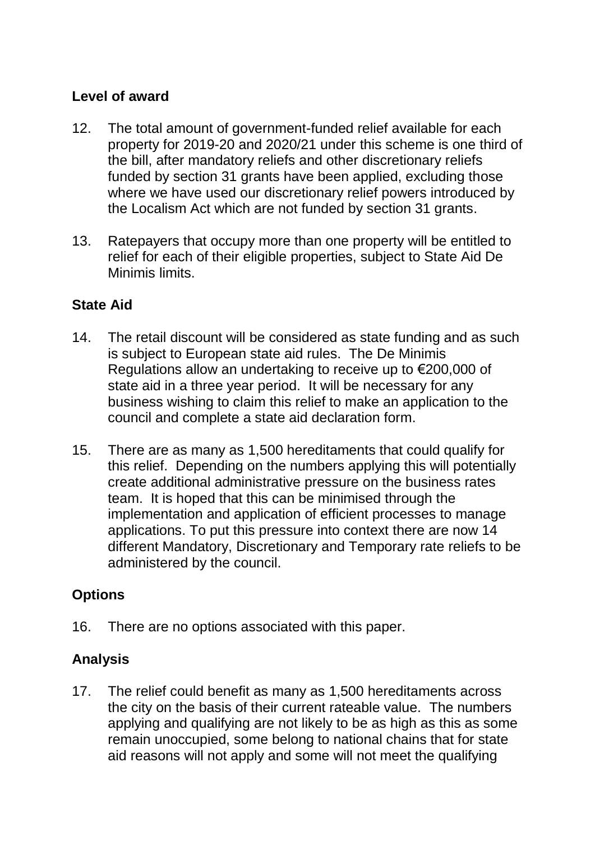# **Level of award**

- 12. The total amount of government-funded relief available for each property for 2019-20 and 2020/21 under this scheme is one third of the bill, after mandatory reliefs and other discretionary reliefs funded by section 31 grants have been applied, excluding those where we have used our discretionary relief powers introduced by the Localism Act which are not funded by section 31 grants.
- 13. Ratepayers that occupy more than one property will be entitled to relief for each of their eligible properties, subject to State Aid De Minimis limits.

# **State Aid**

- 14. The retail discount will be considered as state funding and as such is subject to European state aid rules. The De Minimis Regulations allow an undertaking to receive up to €200,000 of state aid in a three year period. It will be necessary for any business wishing to claim this relief to make an application to the council and complete a state aid declaration form.
- 15. There are as many as 1,500 hereditaments that could qualify for this relief. Depending on the numbers applying this will potentially create additional administrative pressure on the business rates team. It is hoped that this can be minimised through the implementation and application of efficient processes to manage applications. To put this pressure into context there are now 14 different Mandatory, Discretionary and Temporary rate reliefs to be administered by the council.

# **Options**

16. There are no options associated with this paper.

#### **Analysis**

17. The relief could benefit as many as 1,500 hereditaments across the city on the basis of their current rateable value. The numbers applying and qualifying are not likely to be as high as this as some remain unoccupied, some belong to national chains that for state aid reasons will not apply and some will not meet the qualifying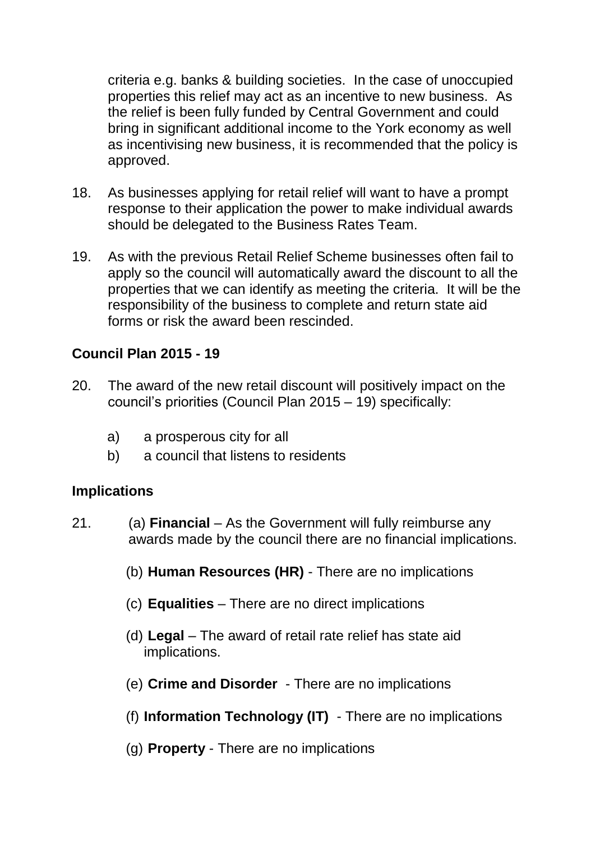criteria e.g. banks & building societies. In the case of unoccupied properties this relief may act as an incentive to new business. As the relief is been fully funded by Central Government and could bring in significant additional income to the York economy as well as incentivising new business, it is recommended that the policy is approved.

- 18. As businesses applying for retail relief will want to have a prompt response to their application the power to make individual awards should be delegated to the Business Rates Team.
- 19. As with the previous Retail Relief Scheme businesses often fail to apply so the council will automatically award the discount to all the properties that we can identify as meeting the criteria. It will be the responsibility of the business to complete and return state aid forms or risk the award been rescinded.

## **Council Plan 2015 - 19**

- 20. The award of the new retail discount will positively impact on the council's priorities (Council Plan 2015 – 19) specifically:
	- a) a prosperous city for all
	- b) a council that listens to residents

#### **Implications**

- 21. (a) **Financial**  As the Government will fully reimburse any awards made by the council there are no financial implications.
	- (b) **Human Resources (HR)**  There are no implications
	- (c) **Equalities**  There are no direct implications
	- (d) **Legal**  The award of retail rate relief has state aid implications.
	- (e) **Crime and Disorder**  There are no implications
	- (f) **Information Technology (IT)**  There are no implications
	- (g) **Property**  There are no implications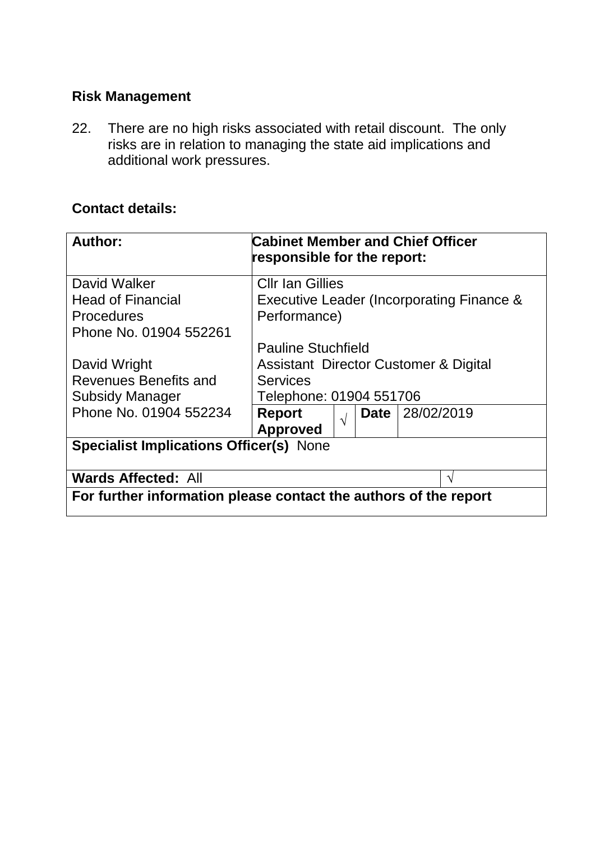# **Risk Management**

22. There are no high risks associated with retail discount. The only risks are in relation to managing the state aid implications and additional work pressures.

# **Contact details:**

| <b>Author:</b>                                                   | <b>Cabinet Member and Chief Officer</b><br>responsible for the report: |             |            |
|------------------------------------------------------------------|------------------------------------------------------------------------|-------------|------------|
| David Walker                                                     | <b>Cllr Ian Gillies</b>                                                |             |            |
| <b>Head of Financial</b>                                         | Executive Leader (Incorporating Finance &                              |             |            |
| <b>Procedures</b>                                                | Performance)                                                           |             |            |
| Phone No. 01904 552261                                           |                                                                        |             |            |
|                                                                  | <b>Pauline Stuchfield</b>                                              |             |            |
| David Wright                                                     | Assistant Director Customer & Digital                                  |             |            |
| Revenues Benefits and                                            | <b>Services</b>                                                        |             |            |
| <b>Subsidy Manager</b>                                           | Telephone: 01904 551706                                                |             |            |
| Phone No. 01904 552234                                           | <b>Report</b><br>$\sqrt{ }$                                            | <b>Date</b> | 28/02/2019 |
|                                                                  | <b>Approved</b>                                                        |             |            |
| <b>Specialist Implications Officer(s) None</b>                   |                                                                        |             |            |
| <b>Wards Affected: All</b>                                       |                                                                        |             |            |
| For further information please contact the authors of the report |                                                                        |             |            |